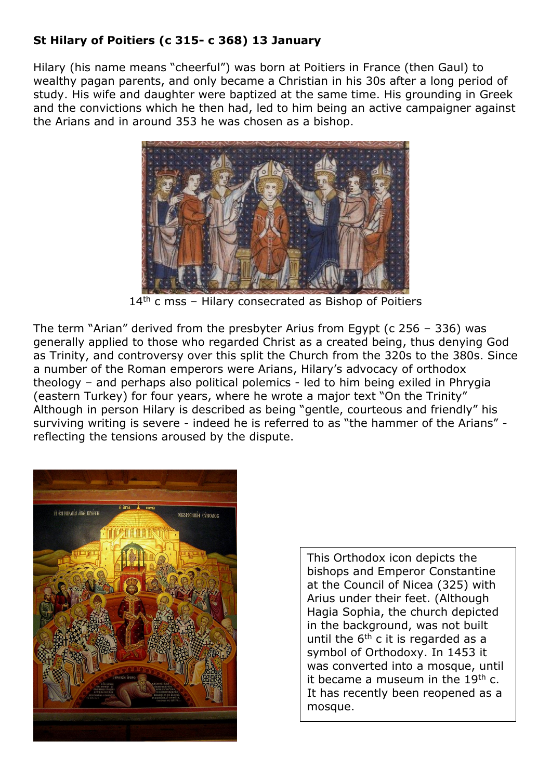## **St Hilary of Poitiers (c 315- c 368) 13 January**

Hilary (his name means "cheerful") was born at Poitiers in France (then Gaul) to wealthy pagan parents, and only became a Christian in his 30s after a long period of study. His wife and daughter were baptized at the same time. His grounding in Greek and the convictions which he then had, led to him being an active campaigner against the Arians and in around 353 he was chosen as a bishop.



 $14<sup>th</sup>$  c mss – Hilary consecrated as Bishop of Poitiers

The term "Arian" derived from the presbyter Arius from Egypt (c 256 – 336) was generally applied to those who regarded Christ as a created being, thus denying God as Trinity, and controversy over this split the Church from the 320s to the 380s. Since a number of the Roman emperors were Arians, Hilary's advocacy of orthodox theology – and perhaps also political polemics - led to him being exiled in Phrygia (eastern Turkey) for four years, where he wrote a major text "On the Trinity" Although in person Hilary is described as being "gentle, courteous and friendly" his surviving writing is severe - indeed he is referred to as "the hammer of the Arians" reflecting the tensions aroused by the dispute.



This Orthodox icon depicts the bishops and Emperor Constantine at the Council of Nicea (325) with Arius under their feet. (Although Hagia Sophia, the church depicted in the background, was not built until the  $6<sup>th</sup>$  c it is regarded as a symbol of Orthodoxy. In 1453 it was converted into a mosque, until it became a museum in the  $19<sup>th</sup>$  c. It has recently been reopened as a mosque.